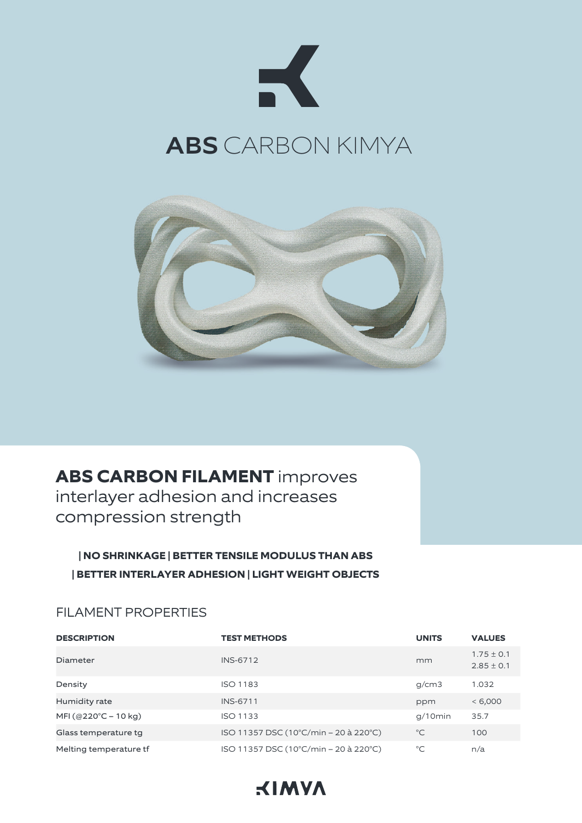



# **ABS CARBON FILAMENT** improves

interlayer adhesion and increases compression strength

# **| NO SHRINKAGE | BETTER TENSILE MODULUS THAN ABS | BETTER INTERLAYER ADHESION | LIGHT WEIGHT OBJECTS**

#### FILAMENT PROPERTIES

| <b>DESCRIPTION</b>     | <b>TEST METHODS</b>                   | <b>UNITS</b> | <b>VALUES</b>                    |
|------------------------|---------------------------------------|--------------|----------------------------------|
| Diameter               | <b>INS-6712</b>                       | mm           | $1.75 \pm 0.1$<br>$2.85 \pm 0.1$ |
| Density                | <b>ISO 1183</b>                       | g/cm3        | 1.032                            |
| Humidity rate          | <b>INS-6711</b>                       | ppm          | < 6,000                          |
| MFI (@220°C – 10 kg)   | <b>ISO 1133</b>                       | $q/10$ min   | 35.7                             |
| Glass temperature tg   | ISO 11357 DSC (10°C/min – 20 à 220°C) | $^{\circ}C$  | 100                              |
| Melting temperature tf | ISO 11357 DSC (10°C/min – 20 à 220°C) | $^{\circ}C$  | n/a                              |